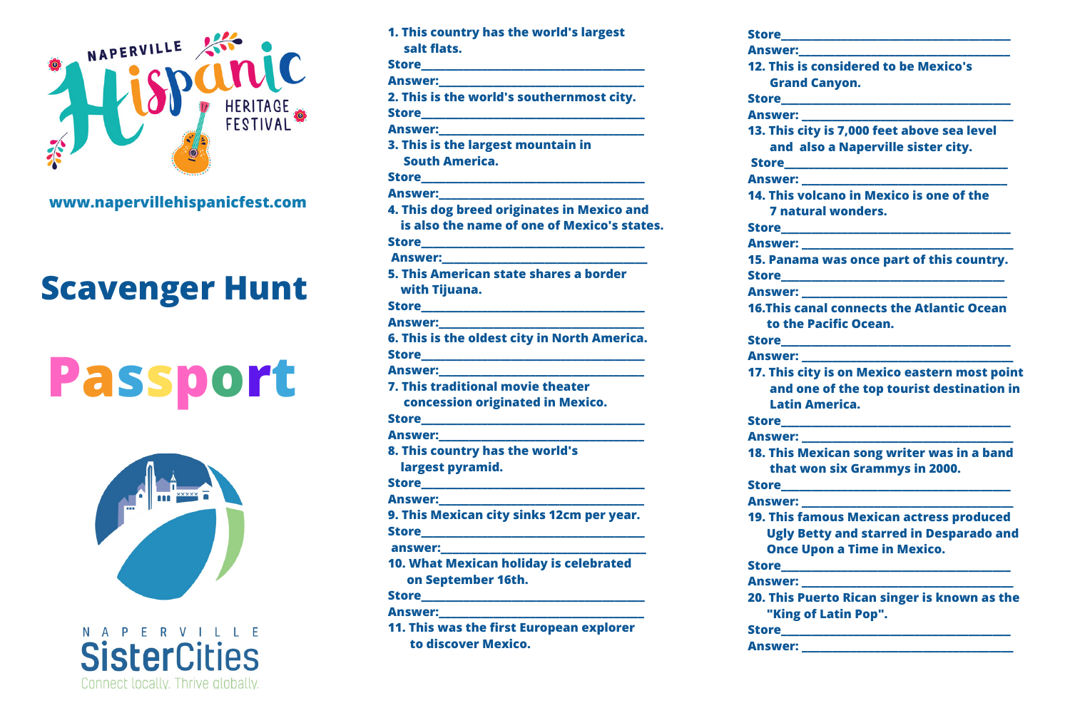

**www.napervillehispanicfest.com**

## **Scavenger Hunt**

## **Passport**



PERVIL  $L - E$ N A **SisterCities** Connect locally. Thrive globally.

| 1. This country has the world's largest<br>salt flats.                                                                                                                                                                         |
|--------------------------------------------------------------------------------------------------------------------------------------------------------------------------------------------------------------------------------|
| <b>Store contract</b>                                                                                                                                                                                                          |
| Answer:                                                                                                                                                                                                                        |
| 2. This is the world's southernmost city.                                                                                                                                                                                      |
| <u>Store________________________</u>                                                                                                                                                                                           |
|                                                                                                                                                                                                                                |
| 3. This is the largest mountain in                                                                                                                                                                                             |
| <b>South America.</b>                                                                                                                                                                                                          |
| Store__________________________                                                                                                                                                                                                |
| Answer:                                                                                                                                                                                                                        |
| 4. This dog breed originates in Mexico and<br>is also the name of one of Mexico's states.                                                                                                                                      |
| <b>Store Store Store Store</b>                                                                                                                                                                                                 |
| Answer: Answer Service State Street Street Street Street Street Street Street Street Street Street Street Street Street Street Street Street Street Street Street Street Street Street Street Street Street Street Street Stre |
| 5. This American state shares a border<br>with Tiiuana.                                                                                                                                                                        |
| <b>Store Example 20</b>                                                                                                                                                                                                        |
| Answer:                                                                                                                                                                                                                        |
| 6. This is the oldest city in North America.                                                                                                                                                                                   |
| <b>Store Example 2016</b>                                                                                                                                                                                                      |
| Answer:                                                                                                                                                                                                                        |
| 7. This traditional movie theater                                                                                                                                                                                              |
| concession originated in Mexico.                                                                                                                                                                                               |
|                                                                                                                                                                                                                                |
| Answer:                                                                                                                                                                                                                        |
| 8. This country has the world's                                                                                                                                                                                                |
| largest pyramid.                                                                                                                                                                                                               |
| <b>Store Example 2016</b>                                                                                                                                                                                                      |
| Answer:                                                                                                                                                                                                                        |
| 9. This Mexican city sinks 12cm per year.                                                                                                                                                                                      |
| <b>Store Example 2016</b>                                                                                                                                                                                                      |
| answer:                                                                                                                                                                                                                        |
| 10. What Mexican holiday is celebrated                                                                                                                                                                                         |
| on September 16th.                                                                                                                                                                                                             |
|                                                                                                                                                                                                                                |
| Answer:                                                                                                                                                                                                                        |
| 11. This was the first European explorer                                                                                                                                                                                       |
| to discover Mexico.                                                                                                                                                                                                            |

| Store          |                                                                                                                |
|----------------|----------------------------------------------------------------------------------------------------------------|
|                | Answer:                                                                                                        |
|                | 12. This is considered to be Mexico's                                                                          |
|                | <b>Grand Canvon.</b>                                                                                           |
|                |                                                                                                                |
|                | Answer:                                                                                                        |
|                | 13. This city is 7,000 feet above sea level                                                                    |
|                | and also a Naperville sister city.                                                                             |
|                | <u>Store____________________________</u>                                                                       |
|                | Answer: ________                                                                                               |
|                | 14. This volcano in Mexico is one of the<br>7 natural wonders.                                                 |
|                |                                                                                                                |
|                | Answer: ______________________                                                                                 |
|                | 15. Panama was once part of this country.                                                                      |
|                |                                                                                                                |
|                | <b>16.This canal connects the Atlantic Ocean</b>                                                               |
|                | to the Pacific Ocean.                                                                                          |
|                | <b>Store Store Store Store</b>                                                                                 |
|                | Answer: Answer Service Service Service Service Service Service Service Service Service Service Service Service |
|                | 17. This city is on Mexico eastern most point                                                                  |
|                | and one of the top tourist destination in                                                                      |
|                | <b>Latin America.</b>                                                                                          |
|                |                                                                                                                |
|                |                                                                                                                |
|                | 18. This Mexican song writer was in a band<br>that won six Grammys in 2000.                                    |
|                |                                                                                                                |
|                | <u>Store_______________________________</u><br>Answer:                                                         |
|                | 19. This famous Mexican actress produced                                                                       |
|                | <b>Ugly Betty and starred in Desparado and</b>                                                                 |
|                | <b>Once Upon a Time in Mexico.</b>                                                                             |
|                |                                                                                                                |
|                | Answer: ____________                                                                                           |
|                | 20. This Puerto Rican singer is known as the                                                                   |
|                | "King of Latin Pop".                                                                                           |
|                | <u>Store___________________________</u>                                                                        |
| <b>Answer:</b> |                                                                                                                |
|                |                                                                                                                |